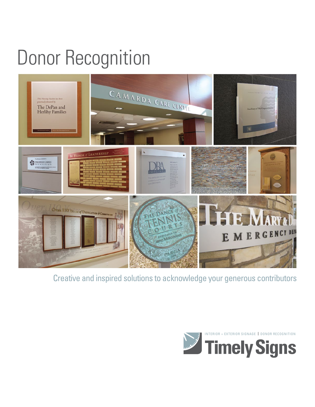## Donor Recognition



Creative and inspired solutions to acknowledge your generous contributors

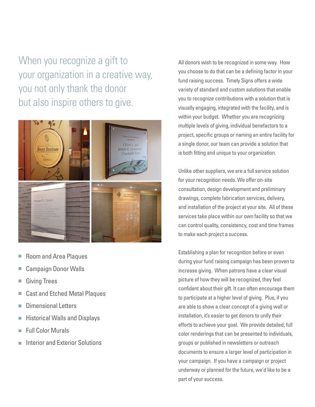When you recognize a gift to your organization in a creative way, you not only thank the donor but also inspire others to give.



- Room and Area Plaques
- Campaign Donor Walls
- Giving Trees n.
- Cast and Etched Metal Plaques m.
- Dimensional Letters F
- Historical Walls and Displays m.
- Full Color Murals Ē.
- Interior and Exterior Solutions

All donors wish to be recognized in some way. How you choose to do that can be a defining factor in your fund raising success. Timely Signs offers a wide variety of standard and custom solutions that enable you to recognize contributions with a solution that is visually engaging, integrated with the facility, and is within your budget. Whether you are recognizing multiple levels of giving, individual benefactors to a project, specific groups or naming an entire facility for a single donor, our team can provide a solution that is both fitting and unique to your organization.

Unlike other suppliers, we are a full service solution for your recognition needs. We offer on-site consultation, design development and preliminary drawings, complete fabrication services, delivery, and installation of the project at your site. All of these services take place within our own facility so that we can control quality, consistency, cost and time frames to make each project a success.

Establishing a plan for recognition before or even during your fund raising campaign has been proven to increase giving. When patrons have a clear visual picture of how they will be recognized, they feel confident about their gift. It can often encourage them to participate at a higher level of giving. Plus, if you are able to show a clear concept of a giving wall or installation, it's easier to get donors to unify their efforts to achieve your goal. We provide detailed, full color renderings that can be presented to individuals, groups or published in newsletters or outreach documents to ensure a larger level of participation in your campaign. If you have a campaign or project underway or planned for the future, we'd like to be a part of your success.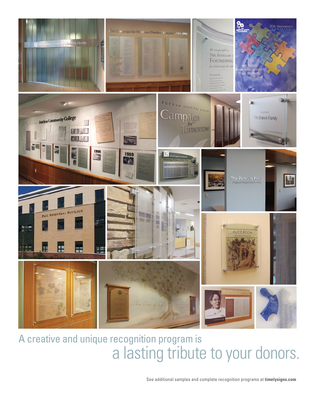

## A creative and unique recognition program is a lasting tribute to your donors.

See additional samples and complete recognition programs at **timelysigns.com**